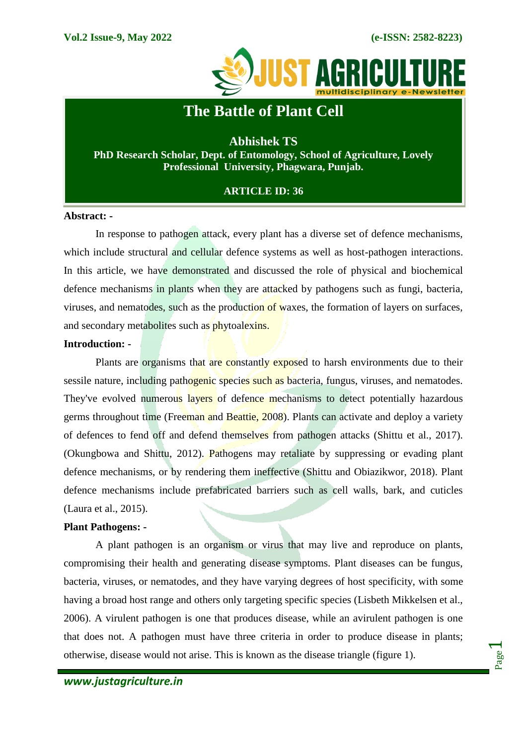

# **The Battle of Plant Cell**

**Abhishek TS PhD Research Scholar, Dept. of Entomology, School of Agriculture, Lovely Professional University, Phagwara, Punjab.**

# **ARTICLE ID: 36**

#### **Abstract: -**

In response to pathogen attack, every plant has a diverse set of defence mechanisms, which include structural and cellular defence systems as well as host-pathogen interactions. In this article, we have demonstrated and discussed the role of physical and biochemical defence mechanisms in plants when they are attacked by pathogens such as fungi, bacteria, viruses, and nematodes, such as the production of waxes, the formation of layers on surfaces, and secondary metabolites such as phytoalexins.

## **Introduction: -**

Plants are organisms that are constantly exposed to harsh environments due to their sessile nature, including pathogenic species such as bacteria, fungus, viruses, and nematodes. They've evolved numerous layers of defence mechanisms to detect potentially hazardous germs throughout time (Freeman and Beattie, 2008). Plants can activate and deploy a variety of defences to fend off and defend themselves from pathogen attacks (Shittu et al., 2017). (Okungbowa and Shittu, 2012). Pathogens may retaliate by suppressing or evading plant defence mechanisms, or by rendering them ineffective (Shittu and Obiazikwor, 2018). Plant defence mechanisms include prefabricated barriers such as cell walls, bark, and cuticles (Laura et al., 2015).

## **Plant Pathogens: -**

A plant pathogen is an organism or virus that may live and reproduce on plants, compromising their health and generating disease symptoms. Plant diseases can be fungus, bacteria, viruses, or nematodes, and they have varying degrees of host specificity, with some having a broad host range and others only targeting specific species (Lisbeth Mikkelsen et al., 2006). A virulent pathogen is one that produces disease, while an avirulent pathogen is one that does not. A pathogen must have three criteria in order to produce disease in plants; otherwise, disease would not arise. This is known as the disease triangle (figure 1).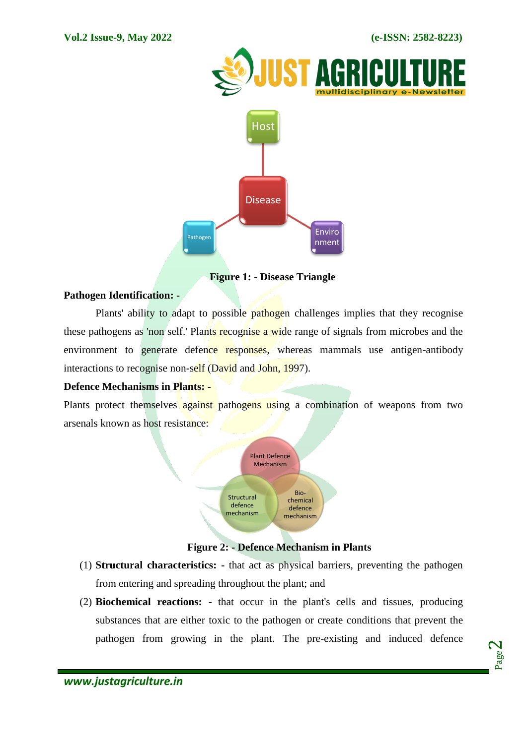

 **Figure 1: - Disease Triangle**

## **Pathogen Identification: -**

Plants' ability to adapt to possible pathogen challenges implies that they recognise these pathogens as 'non self.' Plants recognise a wide range of signals from microbes and the environment to generate defence responses, whereas mammals use antigen-antibody interactions to recognise non-self (David and John, 1997).

# **Defence Mechanisms in Plants: -**

Plants protect themselves against pathogens using a combination of weapons from two arsenals known as host resistance:



# **Figure 2: - Defence Mechanism in Plants**

- (1) **Structural characteristics: -** that act as physical barriers, preventing the pathogen from entering and spreading throughout the plant; and
- (2) **Biochemical reactions: -** that occur in the plant's cells and tissues, producing substances that are either toxic to the pathogen or create conditions that prevent the pathogen from growing in the plant. The pre-existing and induced defence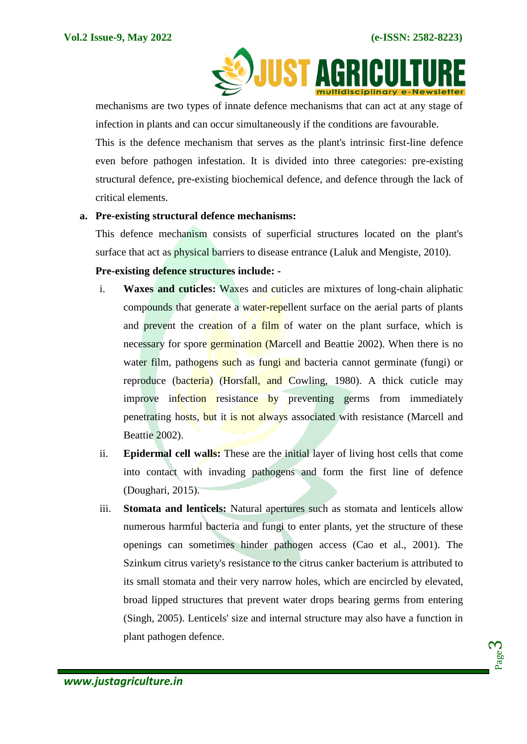

mechanisms are two types of innate defence mechanisms that can act at any stage of infection in plants and can occur simultaneously if the conditions are favourable.

This is the defence mechanism that serves as the plant's intrinsic first-line defence even before pathogen infestation. It is divided into three categories: pre-existing structural defence, pre-existing biochemical defence, and defence through the lack of critical elements.

## **a. Pre-existing structural defence mechanisms:**

This defence mechanism consists of superficial structures located on the plant's surface that act as physical barriers to disease entrance (Laluk and Mengiste, 2010).

# **Pre-existing defence structures include: -**

- i. **Waxes and cuticles:** Waxes and cuticles are mixtures of long-chain aliphatic compounds that generate a water-repellent surface on the aerial parts of plants and prevent the creation of a film of water on the plant surface, which is necessary for spore germination (Marcell and Beattie 2002). When there is no water film, pathogens such as fungi and bacteria cannot germinate (fungi) or reproduce (bacteria) (Horsfall, and Cowling, 1980). A thick cuticle may improve infection resistance by preventing germs from immediately penetrating hosts, but it is not always associated with resistance (Marcell and Beattie 2002).
- ii. **Epidermal cell walls:** These are the initial layer of living host cells that come into contact with invading pathogens and form the first line of defence (Doughari, 2015).
- iii. **Stomata and lenticels:** Natural apertures such as stomata and lenticels allow numerous harmful bacteria and fungi to enter plants, yet the structure of these openings can sometimes hinder pathogen access (Cao et al., 2001). The Szinkum citrus variety's resistance to the citrus canker bacterium is attributed to its small stomata and their very narrow holes, which are encircled by elevated, broad lipped structures that prevent water drops bearing germs from entering (Singh, 2005). Lenticels' size and internal structure may also have a function in plant pathogen defence.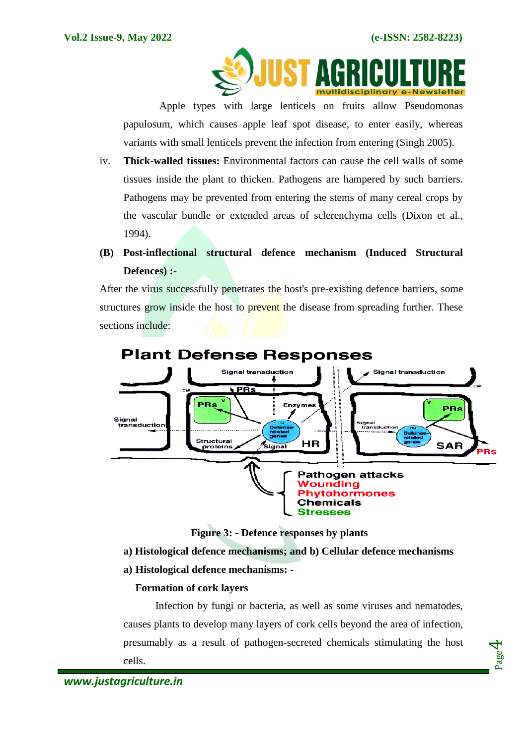Page  $\overline{\bf 4}$ 



Apple types with large lenticels on fruits allow Pseudomonas papulosum, which causes apple leaf spot disease, to enter easily, whereas variants with small lenticels prevent the infection from entering (Singh 2005).

- iv. **Thick-walled tissues:** Environmental factors can cause the cell walls of some tissues inside the plant to thicken. Pathogens are hampered by such barriers. Pathogens may be prevented from entering the stems of many cereal crops by the vascular bundle or extended areas of sclerenchyma cells (Dixon et al., 1994).
- **(B) Post-inflectional structural defence mechanism (Induced Structural Defences) :-**

After the virus successfully penetrates the host's pre-existing defence barriers, some structures grow inside the host to prevent the disease from spreading further. These sections include:



**Figure 3: - Defence responses by plants**

**a) Histological defence mechanisms; and b) Cellular defence mechanisms**

**a) Histological defence mechanisms: -**

# **Formation of cork layers**

Infection by fungi or bacteria, as well as some viruses and nematodes, causes plants to develop many layers of cork cells beyond the area of infection, presumably as a result of pathogen-secreted chemicals stimulating the host cells.

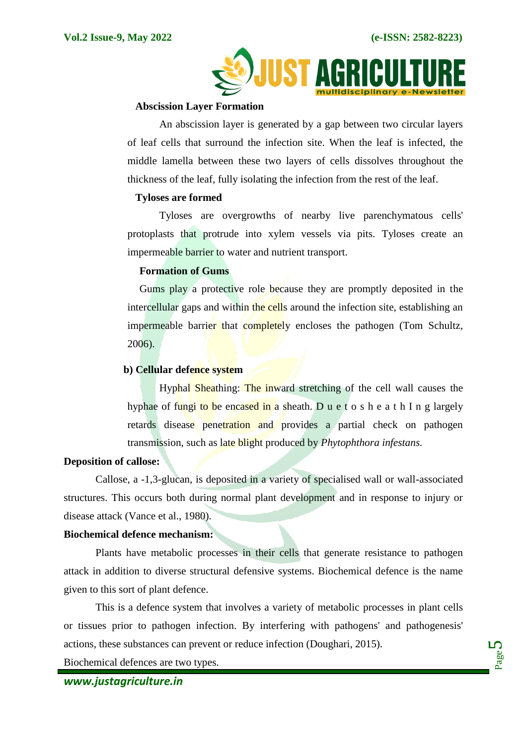

#### **Abscission Layer Formation**

An abscission layer is generated by a gap between two circular layers of leaf cells that surround the infection site. When the leaf is infected, the middle lamella between these two layers of cells dissolves throughout the thickness of the leaf, fully isolating the infection from the rest of the leaf.

#### **Tyloses are formed**

Tyloses are overgrowths of nearby live parenchymatous cells' protoplasts that protrude into xylem vessels via pits. Tyloses create an impermeable barrier to water and nutrient transport.

#### **Formation of Gums**

Gums play a protective role because they are promptly deposited in the intercellular gaps and within the cells around the infection site, establishing an impermeable barrier that completely encloses the pathogen (Tom Schultz, 2006).

#### **b) Cellular defence system**

Hyphal Sheathing: The inward stretching of the cell wall causes the hyphae of fungi to be encased in a sheath. Du e t o s h e a t h I n g largely retards disease penetration and provides a partial check on pathogen transmission, such as late blight produced by *Phytophthora infestans.*

#### **Deposition of callose:**

Callose, a -1,3-glucan, is deposited in a variety of specialised wall or wall-associated structures. This occurs both during normal plant development and in response to injury or disease attack (Vance et al., 1980).

#### **Biochemical defence mechanism:**

Plants have metabolic processes in their cells that generate resistance to pathogen attack in addition to diverse structural defensive systems. Biochemical defence is the name given to this sort of plant defence.

This is a defence system that involves a variety of metabolic processes in plant cells or tissues prior to pathogen infection. By interfering with pathogens' and pathogenesis' actions, these substances can prevent or reduce infection (Doughari, 2015).

Biochemical defences are two types.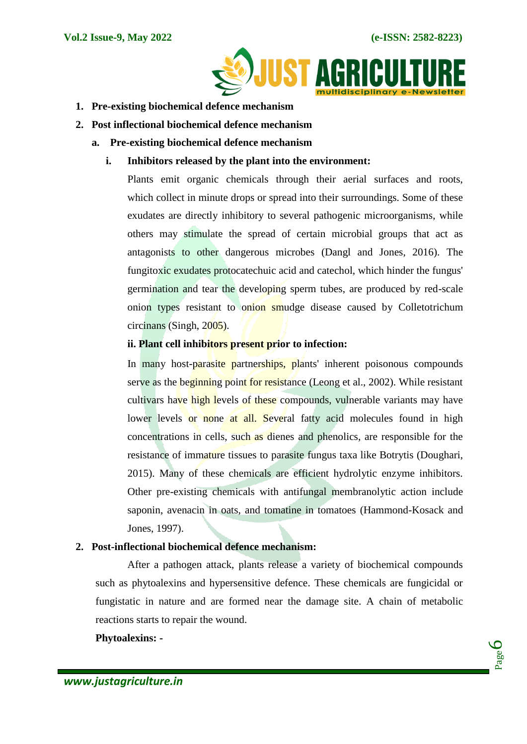

- **1. Pre-existing biochemical defence mechanism**
- **2. Post inflectional biochemical defence mechanism**
	- **a. Pre-existing biochemical defence mechanism**
		- **i. Inhibitors released by the plant into the environment:**

Plants emit organic chemicals through their aerial surfaces and roots, which collect in minute drops or spread into their surroundings. Some of these exudates are directly inhibitory to several pathogenic microorganisms, while others may stimulate the spread of certain microbial groups that act as antagonists to other dangerous microbes (Dangl and Jones, 2016). The fungitoxic exudates protocatechuic acid and catechol, which hinder the fungus' germination and tear the developing sperm tubes, are produced by red-scale onion types resistant to onion smudge disease caused by Colletotrichum circinans (Singh, 2005).

## **ii. Plant cell inhibitors present prior to infection:**

In many host-parasite partnerships, plants' inherent poisonous compounds serve as the beginning point for resistance (Leong et al., 2002). While resistant cultivars have high levels of these compounds, vulnerable variants may have lower levels or none at all. Several fatty acid molecules found in high concentrations in cells, such as dienes and phenolics, are responsible for the resistance of immature tissues to parasite fungus taxa like Botrytis (Doughari, 2015). Many of these chemicals are efficient hydrolytic enzyme inhibitors. Other pre-existing chemicals with antifungal membranolytic action include saponin, avenacin in oats, and tomatine in tomatoes (Hammond-Kosack and Jones, 1997).

# **2. Post-inflectional biochemical defence mechanism:**

After a pathogen attack, plants release a variety of biochemical compounds such as phytoalexins and hypersensitive defence. These chemicals are fungicidal or fungistatic in nature and are formed near the damage site. A chain of metabolic reactions starts to repair the wound.

## **Phytoalexins: -**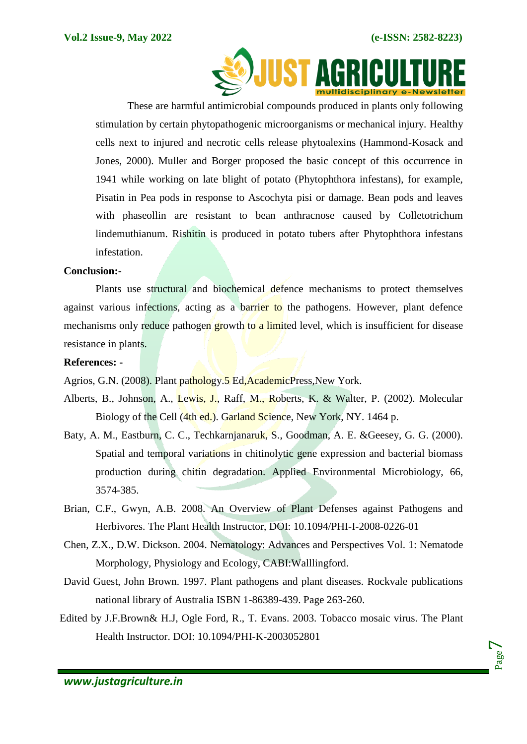

These are harmful antimicrobial compounds produced in plants only following stimulation by certain phytopathogenic microorganisms or mechanical injury. Healthy cells next to injured and necrotic cells release phytoalexins (Hammond-Kosack and Jones, 2000). Muller and Borger proposed the basic concept of this occurrence in 1941 while working on late blight of potato (Phytophthora infestans), for example, Pisatin in Pea pods in response to Ascochyta pisi or damage. Bean pods and leaves with phaseollin are resistant to bean anthracnose caused by Colletotrichum lindemuthianum. Rishitin is produced in potato tubers after Phytophthora infestans infestation.

#### **Conclusion:-**

Plants use structural and biochemical defence mechanisms to protect themselves against various infections, acting as a barrier to the pathogens. However, plant defence mechanisms only reduce pathogen growth to a limited level, which is insufficient for disease resistance in plants.

#### **References: -**

Agrios, G.N. (2008). Plant pathology.5 Ed, AcademicPress, New York.

- Alberts, B., Johnson, A., Lewis, J., Raff, M., Roberts, K. & Walter, P. (2002). Molecular Biology of the Cell (4th ed.). Garland Science, New York, NY. 1464 p.
- Baty, A. M., Eastburn, C. C., Techkarnjanaruk, S., Goodman, A. E. &Geesey, G. G. (2000). Spatial and temporal variations in chitinolytic gene expression and bacterial biomass production during chitin degradation. Applied Environmental Microbiology, 66, 3574-385.
- Brian, C.F., Gwyn, A.B. 2008. An Overview of Plant Defenses against Pathogens and Herbivores. The Plant Health Instructor, DOI: 10.1094/PHI-I-2008-0226-01
- Chen, Z.X., D.W. Dickson. 2004. Nematology: Advances and Perspectives Vol. 1: Nematode Morphology, Physiology and Ecology, CABI:Walllingford.
- David Guest, John Brown. 1997. Plant pathogens and plant diseases. Rockvale publications national library of Australia ISBN 1-86389-439. Page 263-260.
- Edited by J.F.Brown& H.J, Ogle Ford, R., T. Evans. 2003. Tobacco mosaic virus. The Plant Health Instructor. DOI: 10.1094/PHI-K-2003052801

Page  $\overline{\phantom{a}}$